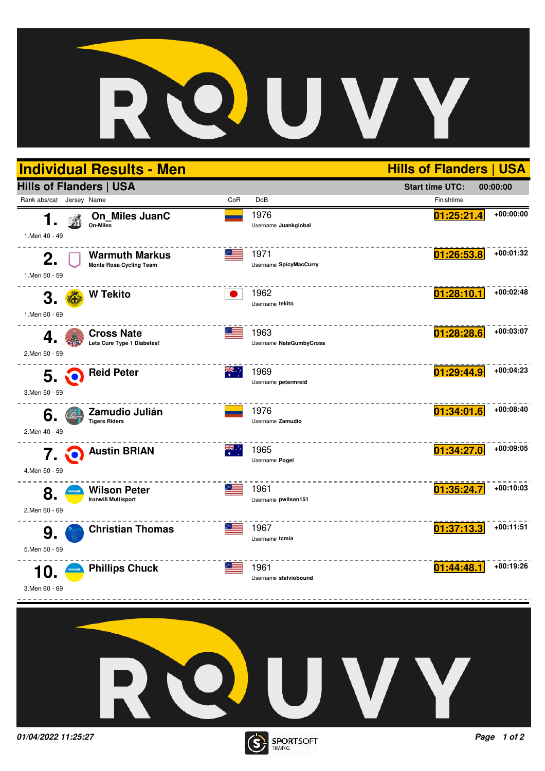

**TIMING**